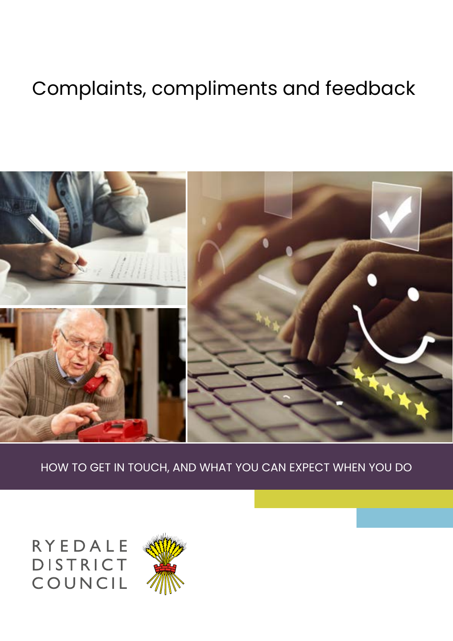# Complaints, compliments and feedback



HOW TO GET IN TOUCH, AND WHAT YOU CAN EXPECT WHEN YOU DO

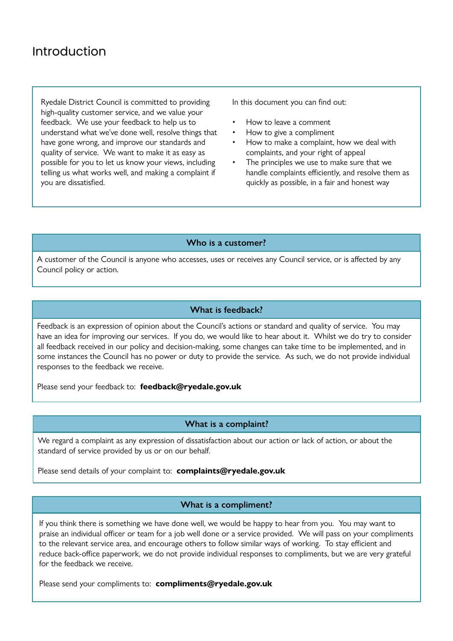## Introduction

Ryedale District Council is committed to providing high-quality customer service, and we value your feedback. We use your feedback to help us to understand what we've done well, resolve things that have gone wrong, and improve our standards and quality of service. We want to make it as easy as possible for you to let us know your views, including telling us what works well, and making a complaint if you are dissatisfied.

In this document you can find out:

- How to leave a comment
- How to give a compliment
- How to make a complaint, how we deal with complaints, and your right of appeal
- The principles we use to make sure that we handle complaints efficiently, and resolve them as quickly as possible, in a fair and honest way

### **Who is a customer?**

A customer of the Council is anyone who accesses, uses or receives any Council service, or is affected by any Council policy or action.

#### **What is feedback?**

Feedback is an expression of opinion about the Council's actions or standard and quality of service. You may have an idea for improving our services. If you do, we would like to hear about it. Whilst we do try to consider all feedback received in our policy and decision-making, some changes can take time to be implemented, and in some instances the Council has no power or duty to provide the service. As such, we do not provide individual responses to the feedback we receive.

Please send your feedback to: **feedback@ryedale.gov.uk**

#### **What is a complaint?**

We regard a complaint as any expression of dissatisfaction about our action or lack of action, or about the standard of service provided by us or on our behalf.

Please send details of your complaint to: **complaints@ryedale.gov.uk**

#### **What is a compliment?**

If you think there is something we have done well, we would be happy to hear from you. You may want to praise an individual officer or team for a job well done or a service provided. We will pass on your compliments to the relevant service area, and encourage others to follow similar ways of working. To stay efficient and reduce back-office paperwork, we do not provide individual responses to compliments, but we are very grateful for the feedback we receive.

Please send your compliments to: **compliments@ryedale.gov.uk**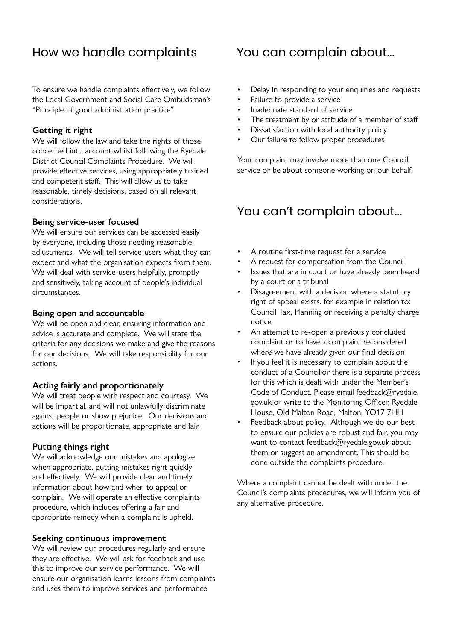## How we handle complaints

To ensure we handle complaints effectively, we follow the Local Government and Social Care Ombudsman's "Principle of good administration practice".

#### **Getting it right**

We will follow the law and take the rights of those concerned into account whilst following the Ryedale District Council Complaints Procedure. We will provide effective services, using appropriately trained and competent staff. This will allow us to take reasonable, timely decisions, based on all relevant considerations.

#### **Being service-user focused**

We will ensure our services can be accessed easily by everyone, including those needing reasonable adjustments. We will tell service-users what they can expect and what the organisation expects from them. We will deal with service-users helpfully, promptly and sensitively, taking account of people's individual circumstances.

#### **Being open and accountable**

We will be open and clear, ensuring information and advice is accurate and complete. We will state the criteria for any decisions we make and give the reasons for our decisions. We will take responsibility for our actions.

#### **Acting fairly and proportionately**

We will treat people with respect and courtesy. We will be impartial, and will not unlawfully discriminate against people or show prejudice. Our decisions and actions will be proportionate, appropriate and fair.

#### **Putting things right**

We will acknowledge our mistakes and apologize when appropriate, putting mistakes right quickly and effectively. We will provide clear and timely information about how and when to appeal or complain. We will operate an effective complaints procedure, which includes offering a fair and appropriate remedy when a complaint is upheld.

#### **Seeking continuous improvement**

We will review our procedures regularly and ensure they are effective. We will ask for feedback and use this to improve our service performance. We will ensure our organisation learns lessons from complaints and uses them to improve services and performance.

## You can complain about...

- Delay in responding to your enquiries and requests
- Failure to provide a service
- Inadequate standard of service
- The treatment by or attitude of a member of staff
- Dissatisfaction with local authority policy
- Our failure to follow proper procedures

Your complaint may involve more than one Council service or be about someone working on our behalf.

## You can't complain about...

- A routine first-time request for a service
- A request for compensation from the Council
- Issues that are in court or have already been heard by a court or a tribunal
- Disagreement with a decision where a statutory right of appeal exists. for example in relation to: Council Tax, Planning or receiving a penalty charge notice
- An attempt to re-open a previously concluded complaint or to have a complaint reconsidered where we have already given our final decision
- If you feel it is necessary to complain about the conduct of a Councillor there is a separate process for this which is dealt with under the Member's Code of Conduct. Please email feedback@ryedale. gov.uk or write to the Monitoring Officer, Ryedale House, Old Malton Road, Malton, YO17 7HH
- Feedback about policy. Although we do our best to ensure our policies are robust and fair, you may want to contact feedback@ryedale.gov.uk about them or suggest an amendment. This should be done outside the complaints procedure.

Where a complaint cannot be dealt with under the Council's complaints procedures, we will inform you of any alternative procedure.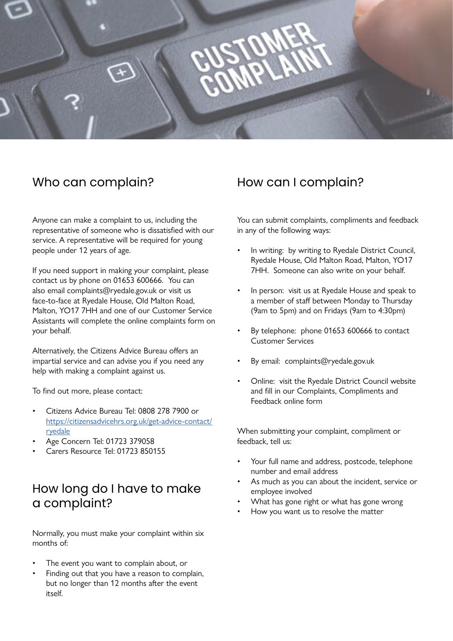

## Who can complain?

Anyone can make a complaint to us, including the representative of someone who is dissatisfied with our service. A representative will be required for young people under 12 years of age.

If you need support in making your complaint, please contact us by phone on 01653 600666. You can also email complaints@ryedale.gov.uk or visit us face-to-face at Ryedale House, Old Malton Road, Malton, YO17 7HH and one of our Customer Service Assistants will complete the online complaints form on your behalf.

Alternatively, the Citizens Advice Bureau offers an impartial service and can advise you if you need any help with making a complaint against us.

To find out more, please contact:

- Citizens Advice Bureau Tel: 0808 278 7900 or [https://citizensadvicehrs.org.uk/get-advice-contact/](https://citizensadvicehrs.org.uk/get-advice-contact/ryedale) [ryedale](https://citizensadvicehrs.org.uk/get-advice-contact/ryedale)
- Age Concern Tel: 01723 379058
- Carers Resource Tel: 01723 850155

## How long do I have to make a complaint?

Normally, you must make your complaint within six months of:

- The event you want to complain about, or
- Finding out that you have a reason to complain, but no longer than 12 months after the event itself.

## How can I complain?

You can submit complaints, compliments and feedback in any of the following ways:

- In writing: by writing to Ryedale District Council, Ryedale House, Old Malton Road, Malton, YO17 7HH. Someone can also write on your behalf.
- In person: visit us at Ryedale House and speak to a member of staff between Monday to Thursday (9am to 5pm) and on Fridays (9am to 4:30pm)
- By telephone: phone 01653 600666 to contact Customer Services
- By email: complaints@ryedale.gov.uk
- Online: visit the Ryedale District Council website and fill in our Complaints, Compliments and Feedback online form

When submitting your complaint, compliment or feedback, tell us:

- Your full name and address, postcode, telephone number and email address
- As much as you can about the incident, service or employee involved
- What has gone right or what has gone wrong
- How you want us to resolve the matter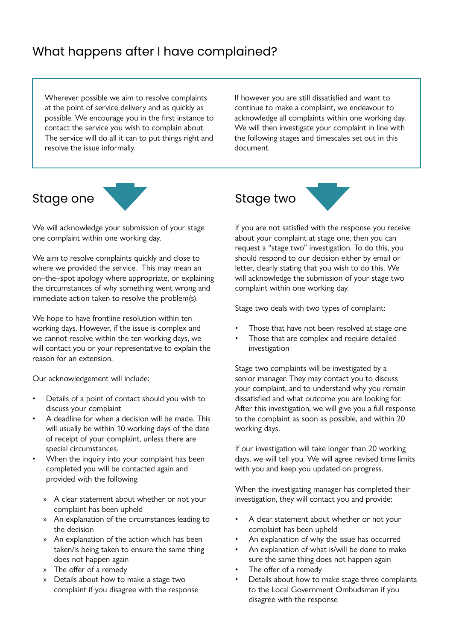## What happens after I have complained?

Wherever possible we aim to resolve complaints at the point of service delivery and as quickly as possible. We encourage you in the first instance to contact the service you wish to complain about. The service will do all it can to put things right and resolve the issue informally.

If however you are still dissatisfied and want to continue to make a complaint, we endeavour to acknowledge all complaints within one working day. We will then investigate your complaint in line with the following stages and timescales set out in this document.



We will acknowledge your submission of your stage one complaint within one working day.

We aim to resolve complaints quickly and close to where we provided the service. This may mean an on–the–spot apology where appropriate, or explaining the circumstances of why something went wrong and immediate action taken to resolve the problem(s).

We hope to have frontline resolution within ten working days. However, if the issue is complex and we cannot resolve within the ten working days, we will contact you or your representative to explain the reason for an extension.

Our acknowledgement will include:

- Details of a point of contact should you wish to discuss your complaint
- A deadline for when a decision will be made. This will usually be within 10 working days of the date of receipt of your complaint, unless there are special circumstances.
- When the inquiry into your complaint has been completed you will be contacted again and provided with the following:
	- » A clear statement about whether or not your complaint has been upheld
	- » An explanation of the circumstances leading to the decision
	- » An explanation of the action which has been taken/is being taken to ensure the same thing does not happen again
	- » The offer of a remedy
	- » Details about how to make a stage two complaint if you disagree with the response



If you are not satisfied with the response you receive about your complaint at stage one, then you can request a "stage two" investigation. To do this, you should respond to our decision either by email or letter, clearly stating that you wish to do this. We will acknowledge the submission of your stage two complaint within one working day.

Stage two deals with two types of complaint:

- Those that have not been resolved at stage one
- Those that are complex and require detailed investigation

Stage two complaints will be investigated by a senior manager. They may contact you to discuss your complaint, and to understand why you remain dissatisfied and what outcome you are looking for. After this investigation, we will give you a full response to the complaint as soon as possible, and within 20 working days.

If our investigation will take longer than 20 working days, we will tell you. We will agree revised time limits with you and keep you updated on progress.

When the investigating manager has completed their investigation, they will contact you and provide:

- A clear statement about whether or not your complaint has been upheld
- An explanation of why the issue has occurred
- An explanation of what is/will be done to make sure the same thing does not happen again
- The offer of a remedy
- Details about how to make stage three complaints to the Local Government Ombudsman if you disagree with the response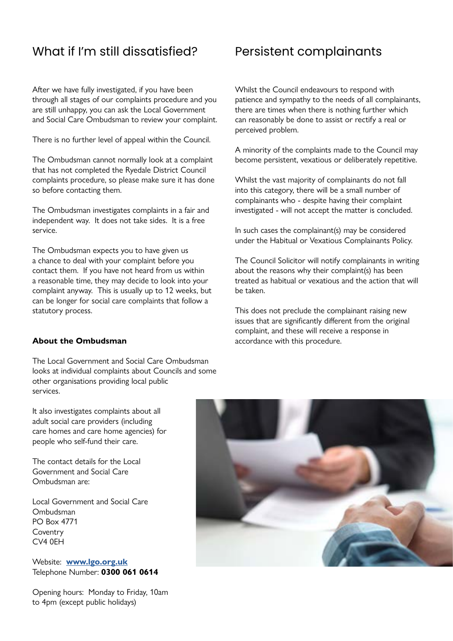## What if I'm still dissatisfied?

After we have fully investigated, if you have been through all stages of our complaints procedure and you are still unhappy, you can ask the Local Government and Social Care Ombudsman to review your complaint.

There is no further level of appeal within the Council.

The Ombudsman cannot normally look at a complaint that has not completed the Ryedale District Council complaints procedure, so please make sure it has done so before contacting them.

The Ombudsman investigates complaints in a fair and independent way. It does not take sides. It is a free service.

The Ombudsman expects you to have given us a chance to deal with your complaint before you contact them. If you have not heard from us within a reasonable time, they may decide to look into your complaint anyway. This is usually up to 12 weeks, but can be longer for social care complaints that follow a statutory process.

#### **About the Ombudsman**

The Local Government and Social Care Ombudsman looks at individual complaints about Councils and some other organisations providing local public services.

## Persistent complainants

Whilst the Council endeavours to respond with patience and sympathy to the needs of all complainants, there are times when there is nothing further which can reasonably be done to assist or rectify a real or perceived problem.

A minority of the complaints made to the Council may become persistent, vexatious or deliberately repetitive.

Whilst the vast majority of complainants do not fall into this category, there will be a small number of complainants who - despite having their complaint investigated - will not accept the matter is concluded.

In such cases the complainant(s) may be considered under the Habitual or Vexatious Complainants Policy.

The Council Solicitor will notify complainants in writing about the reasons why their complaint(s) has been treated as habitual or vexatious and the action that will be taken.

This does not preclude the complainant raising new issues that are significantly different from the original complaint, and these will receive a response in accordance with this procedure.

It also investigates complaints about all adult social care providers (including care homes and care home agencies) for people who self-fund their care.

The contact details for the Local Government and Social Care Ombudsman are:

Local Government and Social Care Ombudsman PO Box 4771 Coventry CV4 0EH

Website: **[www.lgo.org.uk](http://www.igo.org.uk)** Telephone Number: **0300 061 0614**

Opening hours: Monday to Friday, 10am to 4pm (except public holidays)